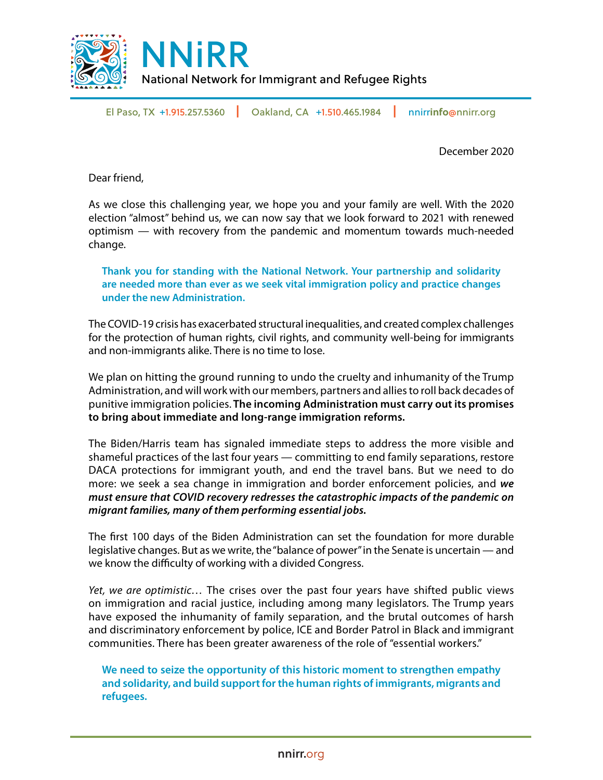

El Paso, TX +1.915.257.5360 **|** Oakland, CA +1.510.465.1984 **|** nnirr**info**@nnirr.org

December 2020

Dear friend,

As we close this challenging year, we hope you and your family are well. With the 2020 election "almost" behind us, we can now say that we look forward to 2021 with renewed optimism — with recovery from the pandemic and momentum towards much-needed change.

**Thank you for standing with the National Network. Your partnership and solidarity are needed more than ever as we seek vital immigration policy and practice changes under the new Administration.**

The COVID-19 crisis has exacerbated structural inequalities, and created complex challenges for the protection of human rights, civil rights, and community well-being for immigrants and non-immigrants alike. There is no time to lose.

We plan on hitting the ground running to undo the cruelty and inhumanity of the Trump Administration, and will work with our members, partners and allies to roll back decades of punitive immigration policies. **The incoming Administration must carry out its promises to bring about immediate and long-range immigration reforms.**

The Biden/Harris team has signaled immediate steps to address the more visible and shameful practices of the last four years — committing to end family separations, restore DACA protections for immigrant youth, and end the travel bans. But we need to do more: we seek a sea change in immigration and border enforcement policies, and *we must ensure that COVID recovery redresses the catastrophic impacts of the pandemic on migrant families, many of them performing essential jobs.*

The first 100 days of the Biden Administration can set the foundation for more durable legislative changes. But as we write, the "balance of power" in the Senate is uncertain — and we know the difficulty of working with a divided Congress.

*Yet, we are optimistic…* The crises over the past four years have shifted public views on immigration and racial justice, including among many legislators. The Trump years have exposed the inhumanity of family separation, and the brutal outcomes of harsh and discriminatory enforcement by police, ICE and Border Patrol in Black and immigrant communities. There has been greater awareness of the role of "essential workers."

**We need to seize the opportunity of this historic moment to strengthen empathy and solidarity, and build support for the human rights of immigrants, migrants and refugees.**